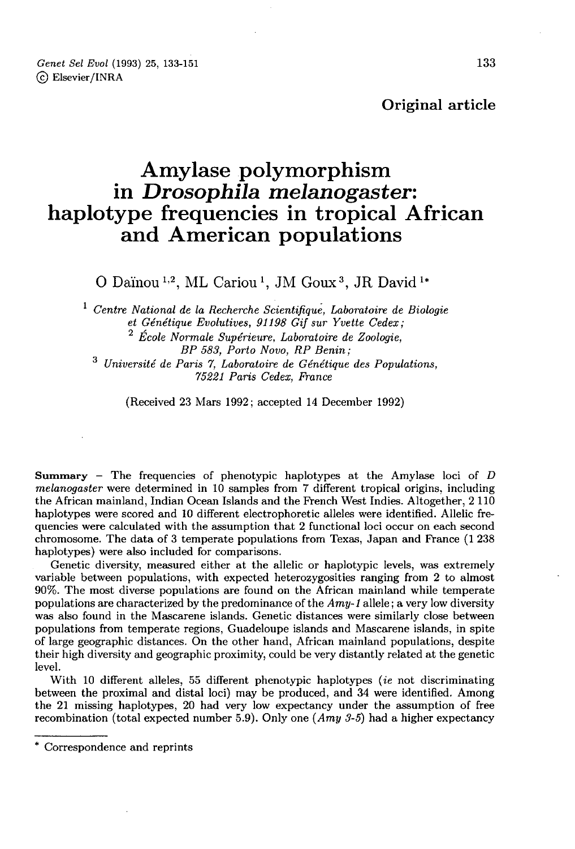Genet Sel Evol (1993) 25, 133-151 C Elsevier/INRA

Original article

# Amylase polymorphism in Drosophila melanogaster: haplotype frequencies in tropical African and American populations

O Daïnou<sup>1,2</sup>, ML Cariou<sup>1</sup>, JM Goux<sup>3</sup>, JR David<sup>1\*</sup>

<sup>1</sup> Centre National de la Recherche Scientifique, Laboratoire de Biologie<br>et Génétique Evolutives, 91198 Gif sur Yvette Cedex;<br><sup>2</sup> École Normale Supérieure, Laboratoire de Zoologie,<br> $BP$ 583. Porto Novo. RP Benin :  $3$  Université de Paris 7, Laboratoire de Génétique des Populations, 75221 Paris Cedex, France

(Received 23 Mars 1992; accepted 14 December 1992)

Summary - The frequencies of phenotypic haplotypes at the Amylase loci of  $D$ melanogaster were determined in 10 samples from 7 different tropical origins, including the African mainland, Indian Ocean Islands and the French West Indies. Altogether, 2 110 haplotypes were scored and 10 different electrophoretic alleles were identified. Allelic frequencies were calculated with the assumption that 2 functional loci occur on each second chromosome. The data of 3 temperate populations from Texas, Japan and France (1 238 haplotypes) were also included for comparisons.

Genetic diversity, measured either at the allelic or haplotypic levels, was extremely variable between populations, with expected heterozygosities ranging from 2 to almost 90%. The most diverse populations are found on the African mainland while temperate populations are characterized by the predominance of the  $Amy-1$  allele; a very low diversity was also found in the Mascarene islands. Genetic distances were similarly close between populations from temperate regions, Guadeloupe islands and Mascarene islands, in spite of large geographic distances. On the other hand, African mainland populations, despite their high diversity and geographic proximity, could be very distantly related at the genetic level.

With 10 different alleles, 55 different phenotypic haplotypes (ie not discriminating between the proximal and distal loci) may be produced, and 34 were identified. Among the 21 missing haplotypes, 20 had very low expectancy under the assumption of free recombination (total expected number 5.9). Only one  $(Amy 3-5)$  had a higher expectancy

<sup>\*</sup> Correspondence and reprints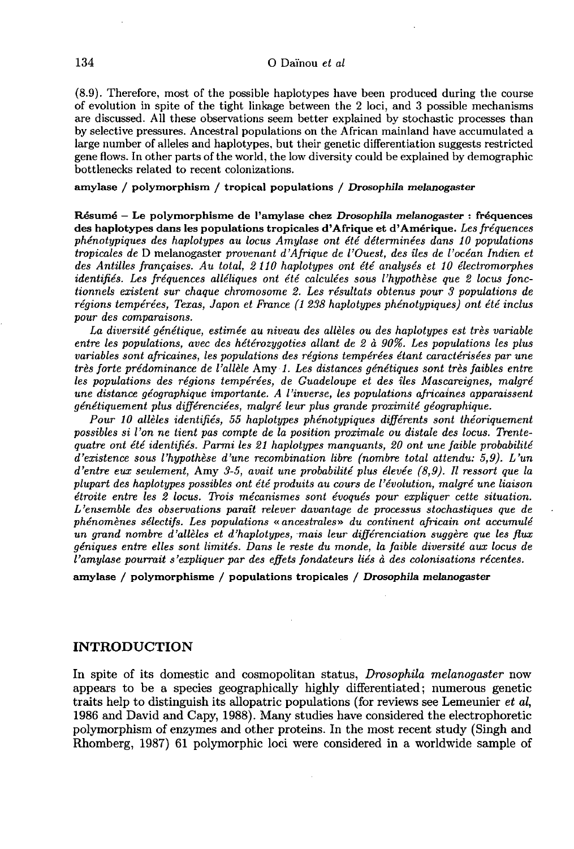(8.9). Therefore, most of the possible haplotypes have been produced during the course of evolution in spite of the tight linkage between the 2 loci, and 3 possible mechanisms are discussed. All these observations seem better explained by stochastic processes than by selective pressures. Ancestral populations on the African mainland have accumulated a large number of alleles and haplotypes, but their genetic differentiation suggests restricted gene flows. In other parts of the world, the low diversity could be explained by demographic bottlenecks related to recent colonizations.

amylase / polymorphism / tropical populations / Drosophila melanogaster

Résumé - Le polymorphisme de l'amylase chez Drosophila melanogaster : fréquences des haplotypes dans les populations tropicales d'Afrique et d'Amérique. Les fréquences phénotypiques des haplotypes au locus Amylase ont été déterminées dans 10 populations tropicales de D melanogaster provenant d'Afrique de l'Ouest, des îles de l'océan Indien et des Antilles françaises. Au total, 2110 haplotypes ont été analysés et 10 électromorphes identifiés. Les fréquences alléliques ont été calculées sous l'hypothèse que 2 locus fonctionnels existent sur chaque chromosome 2. Les résultats obtenus pour 3 populations de régions tempérées, Texas, Japon et France (1 238 haplotypes phénotypiques) ont été inclus pour des comparaisons.

La diversité génétique, estimée au niveau des allèles ou des haplotypes est très variable entre les populations, avec des hétérozygoties allant de 2 à 90%. Les populations les plus variables sont africaines, les populations des régions tempérées étant caractérisées par une très forte prédominance de l'allèle Amy 1. Les distances génétiques sont très faibles entre<br>les populations des régions tempérées, de Guadeloupe et des îles Mascareignes, malgré les populations des régions tempérées, de Guadeloupe et des îles Mascareignes, malgré une distance géographique importante. A l'inverse, les populations africaines apparaissent génétiquement plus différenciées, malgré leur plus grande proximité géographique.

Pour 10 allèles identifiés, 55 haplotypes phénotypiques différents sont théoriquement possibles si l'on ne tient pas compte de la position proximale ou distale des locus. Trentequatre ont été identifiés. Parmi les 21 haplotypes manquants, 20 ont une faible probabilité d'existence sous l'hypothèse d'une recombination libre (nombre total attendu: 5,9). L'un  $d'entre$  eux seulement, Amy 3-5, avait une probabilité plus élevée  $(8,9)$ . Il ressort que la plupart des haplotypes possibles ont été produits au cours de l'évolution, malgré une liaison étroite entre les 2 locus. Trois mécanismes sont évoqués pour expliquer cette situation. L'ensemble des observations paraît relever davantage de processus stochastiques que de phénomènes sélectifs. Les populations « ancestrales» du continent africain ont accumulé un grand nombre d'allèles et d'haplotypes, mais leur différenciation suggère que les fiux géniques entre elles sont limités. Dans le reste du monde, la faible diversité aux locus de l'amylase pourrait s'expliquer par des effets fondateurs liés à des colonisations récentes.

amylase / polymorphisme / populations tropicales / Drosophila melanogaster

## INTRODUCTION

In spite of its domestic and cosmopolitan status, *Drosophila melanogaster* now appears to be a species geographically highly differentiated; numerous genetic traits help to distinguish its allopatric populations (for reviews see Lemeunier *et al.*) 1986 and David and Capy, 1988). Many studies have considered the electrophoretic polymorphism of enzymes and other proteins. In the most recent study (Singh and Rhomberg, 1987) 61 polymorphic loci were considered in a worldwide sample of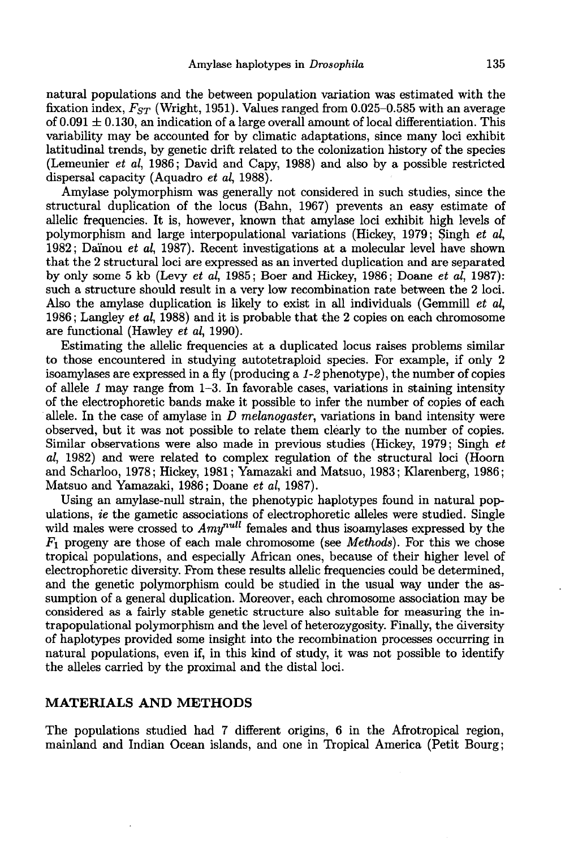natural populations and the between population variation was estimated with the fixation index,  $F_{ST}$  (Wright, 1951). Values ranged from 0.025-0.585 with an average of 0.091  $\pm$  0.130, an indication of a large overall amount of local differentiation. This variability may be accounted for by climatic adaptations, since many loci exhibit latitudinal trends, by genetic drift related to the colonization history of the species (Lemeunier et al, 1986; David and Capy, 1988) and also by a possible restricted dispersal capacity (Aquadro *et al*, 1988).

Amylase polymorphism was generally not considered in such studies, since the structural duplication of the locus (Bahn, 1967) prevents an easy estimate of allelic frequencies. It is, however, known that amylase loci exhibit high levels of polymorphism and large interpopulational variations (Hickey, 1979; Singh et al. 1982; Daïnou et al. 1987). Recent investigations at a molecular level have shown that the 2 structural loci are expressed as an inverted duplication and are separated by only some 5 kb (Levy et al, 1985; Boer and Hickey, 1986; Doane et al, 1987): such a structure should result in a very low recombination rate between the 2 loci. Also the amylase duplication is likely to exist in all individuals (Gemmill et al, 1986; Langley et al, 1988) and it is probable that the 2 copies on each chromosome are functional (Hawley et al, 1990).

Estimating the allelic frequencies at a duplicated locus raises problems similar to those encountered in studying autotetraploid species. For example, if only 2 isoamylases are expressed in a fly (producing a  $1-2$  phenotype), the number of copies of allele 1 may range from  $1-3$ . In favorable cases, variations in staining intensity of the electrophoretic bands make it possible to infer the number of copies of each allele. In the case of amylase in  $D$  melanogaster, variations in band intensity were observed, but it was not possible to relate them clearly to the number of copies. Similar observations were also made in previous studies (Hickey, 1979 ; Singh et al, 1982) and were related to complex regulation of the structural loci (Hoorn and Scharloo, 1978; Hickey, 1981; Yamazaki and Matsuo, 1983; Klarenberg, 1986; Matsuo and Yamazaki, 1986; Doane et al, 1987).

Using an amylase-null strain, the phenotypic haplotypes found in natural populations, ie the gametic associations of electrophoretic alleles were studied. Single wild males were crossed to  $Amy<sup>null</sup>$  females and thus isoamylases expressed by the  $F_1$  progeny are those of each male chromosome (see *Methods*). For this we chose tropical populations, and especially African ones, because of their higher level of electrophoretic diversity. From these results allelic frequencies could be determined, and the genetic polymorphism could be studied in the usual way under the assumption of a general duplication. Moreover, each chromosome association may be considered as a fairly stable genetic structure also suitable for measuring the intrapopulational polymorphism and the level of heterozygosity. Finally, the diversity of haplotypes provided some insight into the recombination processes occurring in natural populations, even if, in this kind of study, it was not possible to identify the alleles carried by the proximal and the distal loci.

# MATERIALS AND METHODS

The populations studied had 7 different origins, 6 in the Afrotropical region, mainland and Indian Ocean islands, and one in Tropical America (Petit Bourg;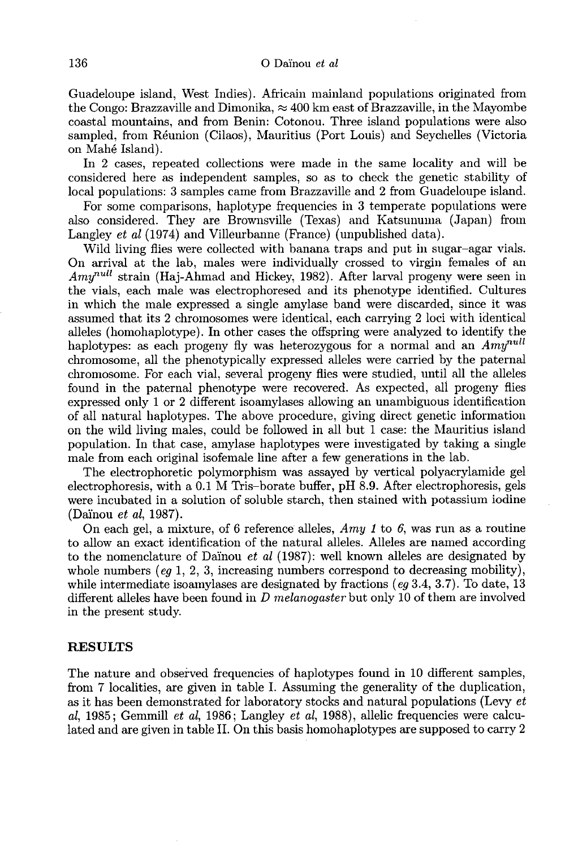Guadeloupe island, West Indies). Africain mainland populations originated from the Congo: Brazzaville and Dimonika,  $\approx 400$  km east of Brazzaville, in the Mayombe coastal mountains, and from Benin: Cotonou. Three island populations were also sampled, from Réunion (Cilaos), Mauritius (Port Louis) and Seychelles (Victoria on Mahé Island).

In 2 cases, repeated collections were made in the same locality and will be considered here as independent samples, so as to check the genetic stability of local populations: 3 samples came from Brazzaville and 2 from Guadeloupe island.

For some comparisons, haplotype frequencies in 3 temperate populations were also considered. They are Brownsville (Texas) and Katsunuma (Japan) from Langley et al (1974) and Villeurbanne (France) (unpublished data).

Wild living flies were collected with banana traps and put in sugar-agar vials. On arrival at the lab, males were individually crossed to virgin females of an  $Amy^{null}$  strain (Haj-Ahmad and Hickey, 1982). After larval progeny were seen in the vials, each male was electrophoresed and its phenotype identified. Cultures in which the male expressed a single amylase band were discarded, since it was assumed that its 2 chromosomes were identical, each carrying 2 loci with identical alleles (homohaplotype). In other cases the offspring were analyzed to identify the haplotypes: as each progeny fly was heterozygous for a normal and an  $Amy<sup>null</sup>$ chromosome, all the phenotypically expressed alleles were carried by the paternal chromosome. For each vial, several progeny flies were studied, until all the alleles found in the paternal phenotype were recovered. As expected, all progeny flies expressed only 1 or 2 different isoamylases allowing an unambiguous identification of all natural haplotypes. The above procedure, giving direct genetic information on the wild living males, could be followed in all but 1 case: the Mauritius island population. In that case, amylase haplotypes were investigated by taking a single male from each original isofemale line after a few generations in the lab.

The electrophoretic polymorphism was assayed by vertical polyacrylamide gel electrophoresis, with a 0.1 M Tris-borate buffer, pH 8.9. After electrophoresis, gels were incubated in a solution of soluble starch, then stained with potassium iodine (Dainou et al, 1987).

On each gel, a mixture, of 6 reference alleles,  $Amy \, 1$  to 6, was run as a routine to allow an exact identification of the natural alleles. Alleles are named according to the nomenclature of Dainou et al (1987): well known alleles are designated by whole numbers ( $ea$  1, 2, 3, increasing numbers correspond to decreasing mobility), while intermediate isoamylases are designated by fractions (eq 3.4, 3.7). To date, 13 different alleles have been found in D melanogaster but only 10 of them are involved in the present study.

### RESULTS

The nature and observed frequencies of haplotypes found in 10 different samples, from 7 localities, are given in table I. Assuming the generality of the duplication, as it has been demonstrated for laboratory stocks and natural populations (Levy et al, 1985; Gemmill et al, 1986; Langley et al, 1988), allelic frequencies were calculated and are given in table II. On this basis homohaplotypes are supposed to carry 2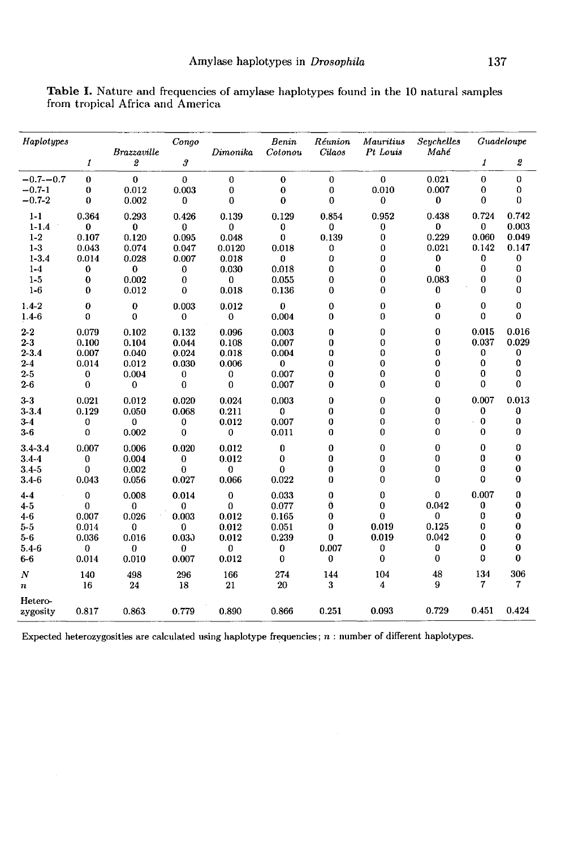| Haplotypes                                                  |                    | <b>Brazzaville</b> | Congo              | Dimonika           | Benin<br>Cotonou   | Réunion<br>Cilaos | Mauritius<br>Pt Louis | <b>Seychelles</b><br>Mahé |                   | Guadeloupe        |
|-------------------------------------------------------------|--------------------|--------------------|--------------------|--------------------|--------------------|-------------------|-----------------------|---------------------------|-------------------|-------------------|
|                                                             | 1                  | 2                  | 3                  |                    |                    |                   |                       |                           | 1                 | 2                 |
| $-0.7 - 0.7$                                                | 0                  | $\bf{0}$           | $\bf{0}$           | $\bf{0}$           | $\bf{0}$           | $\bf{0}$          | $\bf{0}$              | 0.021                     | $\bf{0}$          | 0                 |
| $-0.7-1$                                                    | 0                  | 0.012              | 0.003              | $\bf{0}$           | $\bf{0}$           | $\bf{0}$          | 0.010                 | 0.007                     | 0                 | 0                 |
| $-0.7-2$                                                    | 0                  | 0.002              | 0                  | $\bf{0}$           | $\bf{0}$           | $\bf{0}$          | $\bf{0}$              | $\bf{0}$                  | 0                 | 0                 |
| $1 - 1$                                                     | 0.364              | 0.293              | 0.426              | 0.139              | 0.129              | 0.854             | 0.952                 | 0.438                     | 0.724             | 0.742             |
| $1 - 1.4$                                                   | $\mathbf{0}$       | $\bf{0}$           | $\bf{0}$           | $\bf{0}$           | 0                  | 0                 | 0                     | 0                         | 0                 | 0.003             |
| $1 - 2$                                                     | 0.107              | 0.120              | 0.095              | 0.048              | $\bf{0}$           | 0.139             | 0                     | 0.229                     | 0.060             | 0.049             |
| $1 - 3$                                                     | 0.043              | 0.074              | 0.047              | 0.0120             | 0.018              | 0                 | 0                     | 0.021                     | 0.142             | 0.147             |
| $1 - 3.4$                                                   | 0.014              | 0.028              | 0.007              | 0.018              | 0                  | 0                 | 0                     | 0                         | 0                 | 0                 |
| $1 - 4$                                                     | 0                  | $\bf{0}$           | 0                  | 0.030              | 0.018              | 0                 | 0                     | 0                         | 0                 | 0                 |
| $1 - 5$                                                     | 0                  | 0.002              | $\bf{0}$           | 0                  | 0.055              | $\mathbf 0$       | 0                     | 0.083                     | 0                 | 0                 |
| $1-6$                                                       | 0                  | 0.012              | 0                  | 0.018              | 0.136              | 0                 | $\Omega$              | 0                         | 0                 | 0                 |
| $1.4 - 2$                                                   | 0                  | 0                  | 0.003              | 0.012              | $\bf{0}$           | $\bf{0}$          | $\bf{0}$              | 0                         | 0                 | 0                 |
| $1.4 - 6$                                                   | $\bf{0}$           | $\bf{0}$           | $\bf{0}$           | 0                  | 0.004              | $\bf{0}$          | $\bf{0}$              | $\bf{0}$                  | 0                 | $\bf{0}$          |
| $2 - 2$                                                     | 0.079              | 0.102              | 0.132              | 0.096              | 0.003              | 0                 | 0                     | 0                         | 0.015             | 0.016             |
| $2-3$                                                       | 0.100              | 0.104              | 0.044              | 0.108              | 0.007              | 0                 | $\bf{0}$              | $\bf{0}$                  | 0.037             | 0.029             |
| $2 - 3.4$                                                   | 0.007              | 0.040              | 0.024              | 0.018              | 0.004              | 0                 | 0                     | 0                         | 0                 | 0                 |
| $2-4$                                                       | 0.014              | 0.012              | 0.030              | 0.006              | 0                  | 0                 | 0                     | 0                         | 0                 | $\bf{0}$          |
| $2 - 5$                                                     | 0                  | 0.004              | 0                  | $\bf{0}$           | 0.007              | 0                 | $\bf{0}$              | 0                         | 0                 | $\bf{0}$          |
| $2-6$                                                       | $\bf{0}$           | 0                  | 0                  | $\bf{0}$           | 0.007              | 0                 | 0                     | 0                         | 0                 | $\mathbf{0}$      |
| $3-3$                                                       | 0.021              | 0.012              | 0.020              | 0.024              | 0.003              | 0                 | $\bf{0}$              | 0                         | 0.007             | 0.013             |
| $3 - 3.4$                                                   | 0.129              | 0.050              | 0.068              | 0.211              | 0                  | $\bf{0}$          | 0                     | 0                         | 0                 | $\bf{0}$          |
| $3-4$                                                       | 0                  | 0                  | 0                  | 0.012              | 0.007              | 0                 | 0                     | $\bf{0}$                  | $\bf{0}$          | 0                 |
| $3-6$                                                       | 0                  | 0.002              | 0                  | $\bf{0}$           | 0.011              | $\bf{0}$          | 0                     | $\bf{0}$                  | Ò                 | $\bf{0}$          |
| $3.4 - 3.4$                                                 | 0.007              | 0.006              | 0.020              | 0.012              | 0                  | 0                 | 0                     | 0                         | 0                 | 0                 |
| $3.4 - 4$                                                   | 0                  | 0.004              | 0                  | 0.012              | $\bf{0}$           | 0                 | 0                     | 0                         | 0                 | $\bf{0}$          |
| $3.4 - 5$                                                   | 0                  | 0.002              | $\bf{0}$           | 0                  | 0                  | 0                 | 0                     | 0                         | 0                 | $\bf{0}$          |
| $3.4 - 6$                                                   | 0.043              | 0.056              | 0.027              | 0.066              | 0.022              | $\bf{0}$          | 0                     | 0                         | 0                 | $\bf{0}$          |
| $4 - 4$                                                     | $\bf{0}$           | 0.008              | 0.014              | 0                  | 0.033              | 0                 | 0                     | 0                         | 0.007             | 0                 |
| $4 - 5$                                                     | $\Omega$           | 0                  | $\Omega$           | $\Omega$           | 0.077              | 0                 | 0                     | 0.042                     | 0                 | 0                 |
| $4-6$                                                       | 0.007              | 0.026              | 0.003              | 0.012              | 0.165              | 0                 | $\bf{0}$              | 0                         | 0                 | $\bf{0}$          |
| $5 - 5$                                                     | 0.014              | 0                  | 0                  | 0.012              | 0.051              | 0                 | 0.019                 | 0.125                     | 0                 | 0                 |
| $5-6$                                                       | 0.036              | 0.016              | 0.03               | 0.012              | 0.239              | $\bf{0}$          | 0.019                 | 0.042                     | 0                 | $\bf{0}$          |
| $5.4 - 6$                                                   | $\bf{0}$           | 0                  | 0                  | 0                  | 0                  | 0.007             | 0                     | 0                         | 0                 | 0                 |
| $6-6$                                                       | 0.014              | 0.010              | 0.007              | 0.012              | 0                  | 0                 | 0                     | 0                         | 0                 | 0                 |
| $\boldsymbol{N}$<br>$\boldsymbol{n}$<br>Hetero-<br>zygosity | 140<br>16<br>0.817 | 498<br>24<br>0.863 | 296<br>18<br>0.779 | 166<br>21<br>0.890 | 274<br>20<br>0.866 | 144<br>3<br>0.251 | 104<br>4<br>0.093     | 48<br>9<br>0.729          | 134<br>7<br>0.451 | 306<br>7<br>0.424 |

Table I. Nature and frequencies of amylase haplotypes found in the 10 natural samples from tropical Africa and America

Expected heterozygosities are calculated using haplotype frequencies;  $n$ : number of different haplotypes.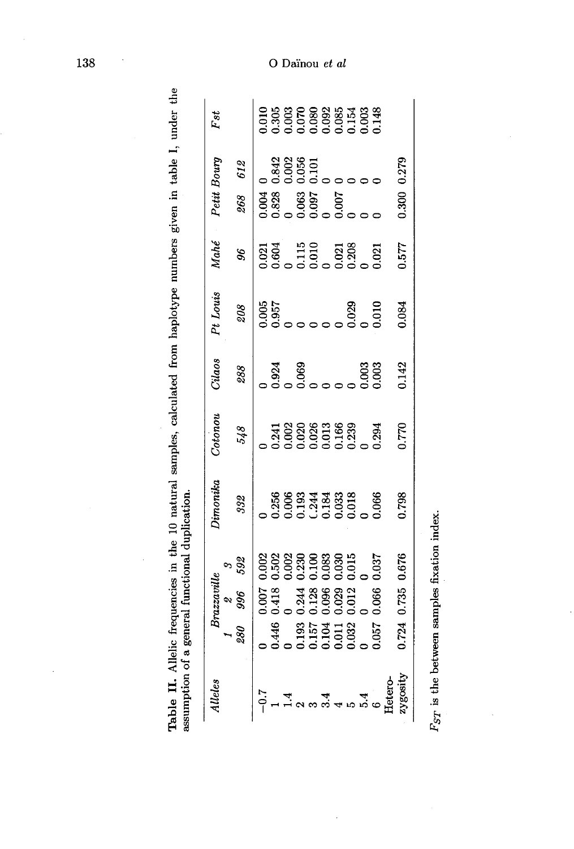| Alleles | Brazzavul                                                                                                                                                           |                                                                                                                                                                                                                                                                           | <b>Dimonika</b>                                                                                                                                                                                                                                                           | <b><i><u>Cotonou</u></i></b>                                                                                                                                                                                                                                                                | Cilaos                       | Pt Louis | Mahé                                                                                                                                                                                                                                                                      | Petit Bourg                                                                                   | Fst                                                                     |
|---------|---------------------------------------------------------------------------------------------------------------------------------------------------------------------|---------------------------------------------------------------------------------------------------------------------------------------------------------------------------------------------------------------------------------------------------------------------------|---------------------------------------------------------------------------------------------------------------------------------------------------------------------------------------------------------------------------------------------------------------------------|---------------------------------------------------------------------------------------------------------------------------------------------------------------------------------------------------------------------------------------------------------------------------------------------|------------------------------|----------|---------------------------------------------------------------------------------------------------------------------------------------------------------------------------------------------------------------------------------------------------------------------------|-----------------------------------------------------------------------------------------------|-------------------------------------------------------------------------|
|         | 266<br>980                                                                                                                                                          | 592                                                                                                                                                                                                                                                                       | 332                                                                                                                                                                                                                                                                       | 548                                                                                                                                                                                                                                                                                         | 288                          | 208      | 96                                                                                                                                                                                                                                                                        | 612<br>898                                                                                    |                                                                         |
|         |                                                                                                                                                                     |                                                                                                                                                                                                                                                                           |                                                                                                                                                                                                                                                                           |                                                                                                                                                                                                                                                                                             |                              |          |                                                                                                                                                                                                                                                                           |                                                                                               |                                                                         |
|         |                                                                                                                                                                     |                                                                                                                                                                                                                                                                           |                                                                                                                                                                                                                                                                           |                                                                                                                                                                                                                                                                                             |                              |          |                                                                                                                                                                                                                                                                           |                                                                                               |                                                                         |
|         | $0.007$<br>$0.418$<br>$0.244$<br>$0.128$<br>$0.006$<br>$0.003$<br>$0.000$<br>$0.006$<br>$0.446$<br>$0.193$<br>$0.157$<br>$0.0104$<br>$0.0104$<br>$0.032$<br>$0.057$ | $\begin{smallmatrix} 0.002 & 0.502 & 0.502 & 0.003 & 0.003 & 0.003 & 0.003 & 0.003 & 0.003 & 0.003 & 0.003 & 0.003 & 0.003 & 0.003 & 0.003 & 0.003 & 0.003 & 0.003 & 0.003 & 0.003 & 0.003 & 0.003 & 0.003 & 0.003 & 0.003 & 0.003 & 0.003 & 0.003 & 0.003 & 0.003 & 0.0$ |                                                                                                                                                                                                                                                                           |                                                                                                                                                                                                                                                                                             |                              |          |                                                                                                                                                                                                                                                                           | 843<br>83085<br>00000000000<br>$0.004$<br>$0.828$<br>$0.063$<br>$0.067$<br>$0.007$<br>$0.007$ | 0.010<br>0.303<br>0.003 0.003 0.003<br>0.000 0.003 0.003<br>0.000 0.003 |
|         |                                                                                                                                                                     |                                                                                                                                                                                                                                                                           |                                                                                                                                                                                                                                                                           |                                                                                                                                                                                                                                                                                             |                              |          |                                                                                                                                                                                                                                                                           |                                                                                               |                                                                         |
|         |                                                                                                                                                                     |                                                                                                                                                                                                                                                                           |                                                                                                                                                                                                                                                                           |                                                                                                                                                                                                                                                                                             |                              |          |                                                                                                                                                                                                                                                                           |                                                                                               |                                                                         |
|         |                                                                                                                                                                     |                                                                                                                                                                                                                                                                           |                                                                                                                                                                                                                                                                           |                                                                                                                                                                                                                                                                                             |                              |          |                                                                                                                                                                                                                                                                           |                                                                                               |                                                                         |
|         |                                                                                                                                                                     |                                                                                                                                                                                                                                                                           |                                                                                                                                                                                                                                                                           |                                                                                                                                                                                                                                                                                             |                              |          |                                                                                                                                                                                                                                                                           |                                                                                               |                                                                         |
|         |                                                                                                                                                                     |                                                                                                                                                                                                                                                                           |                                                                                                                                                                                                                                                                           |                                                                                                                                                                                                                                                                                             |                              |          |                                                                                                                                                                                                                                                                           |                                                                                               |                                                                         |
|         |                                                                                                                                                                     |                                                                                                                                                                                                                                                                           |                                                                                                                                                                                                                                                                           |                                                                                                                                                                                                                                                                                             |                              |          |                                                                                                                                                                                                                                                                           |                                                                                               |                                                                         |
|         |                                                                                                                                                                     |                                                                                                                                                                                                                                                                           | $\begin{smallmatrix} 0.256 & 0.256 & 0.006 & 0.006 & 0.006 & 0.006 & 0.006 & 0.006 & 0.006 & 0.006 & 0.006 & 0.006 & 0.006 & 0.006 & 0.006 & 0.006 & 0.006 & 0.006 & 0.006 & 0.006 & 0.006 & 0.006 & 0.006 & 0.006 & 0.006 & 0.006 & 0.006 & 0.006 & 0.006 & 0.006 & 0.0$ | $\begin{array}{c} 0.241 \\ 0.0000 \\ 0.0000 \\ 0.0000 \\ 0.0000 \\ 0.0000 \\ 0.0000 \\ 0.0000 \\ 0.0000 \\ 0.0000 \\ 0.0000 \\ 0.0000 \\ 0.0000 \\ 0.0000 \\ 0.0000 \\ 0.0000 \\ 0.0000 \\ 0.0000 \\ 0.0000 \\ 0.0000 \\ 0.0000 \\ 0.0000 \\ 0.0000 \\ 0.0000 \\ 0.0000 \\ 0.0000 \\ 0.000$ | ್ಷ ಕ್ಷ<br>೧೮೦೮<br>೧೦೦೦೦೦೦೦೦೦ |          | $\begin{smallmatrix} 0.021 & 0.030 & 0.010 & 0.010 & 0.010 & 0.000 & 0.000 & 0.000 & 0.000 & 0.000 & 0.000 & 0.000 & 0.000 & 0.000 & 0.000 & 0.000 & 0.000 & 0.000 & 0.000 & 0.000 & 0.000 & 0.000 & 0.000 & 0.000 & 0.000 & 0.000 & 0.000 & 0.000 & 0.000 & 0.000 & 0.0$ |                                                                                               |                                                                         |
|         |                                                                                                                                                                     |                                                                                                                                                                                                                                                                           |                                                                                                                                                                                                                                                                           |                                                                                                                                                                                                                                                                                             |                              |          |                                                                                                                                                                                                                                                                           |                                                                                               |                                                                         |
| ygosity | 0.735<br>0.724                                                                                                                                                      | 0.676                                                                                                                                                                                                                                                                     | 0.798                                                                                                                                                                                                                                                                     | 0.770                                                                                                                                                                                                                                                                                       | 0.142                        | 0.084    | 0.577                                                                                                                                                                                                                                                                     | 0.279<br>0.300                                                                                |                                                                         |
|         |                                                                                                                                                                     |                                                                                                                                                                                                                                                                           |                                                                                                                                                                                                                                                                           |                                                                                                                                                                                                                                                                                             |                              |          |                                                                                                                                                                                                                                                                           |                                                                                               |                                                                         |

Table II. Allelic frequencies in the 10 natural samples, calculated from haplotype numbers given in table I, under the assumption of a general functional duplication.

 $F_{ST}$  is the between samples fixation index.

# O Daïnou  $et\;al$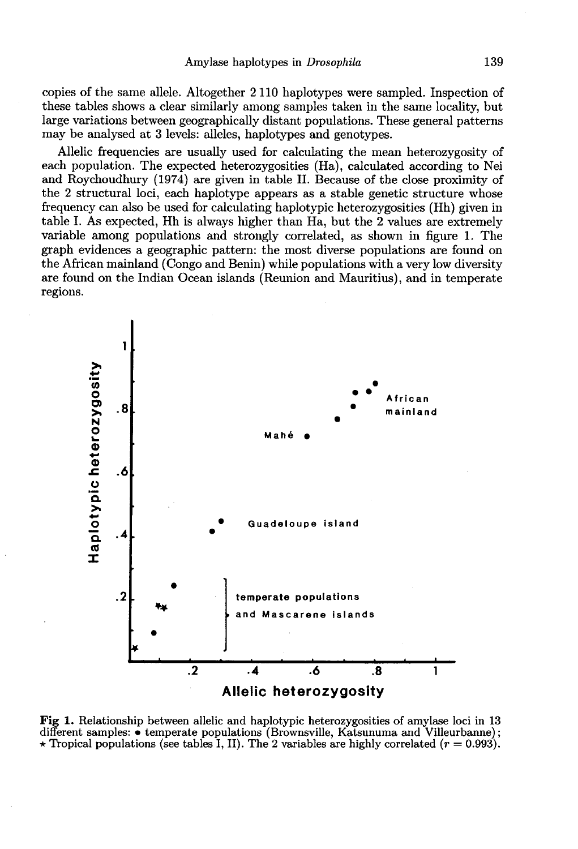copies of the same allele. Altogether 2110 haplotypes were sampled. Inspection of these tables shows a clear similarly among samples taken in the same locality, but large variations between geographically distant populations. These general patterns may be analysed at 3 levels: alleles, haplotypes and genotypes.

Allelic frequencies are usually used for calculating the mean heterozygosity of each population. The expected heterozygosities (Ha), calculated according to Nei and Roychoudhury (1974) are given in table II. Because of the close proximity of the 2 structural loci, each haplotype appears as a stable genetic structure whose frequency can also be used for calculating haplotypic heterozygosities (Hh) given in table I. As expected, Hh is always higher than Ha, but the 2 values are extremely variable among populations and strongly correlated, as shown in figure 1. The graph evidences a geographic pattern: the most diverse populations are found on are found on the Indian Ocean islands (Reunion and Mauritius), and in temperate regions.



Fig 1. Relationship between allelic and haplotypic heterozygosities of amylase loci in 13 different samples: • temperate populations (Brownsville, Katsunuma and Villeurbanne);  $\star$  Tropical populations (see tables I, II). The 2 variables are highly correlated  $(r = 0.993)$ .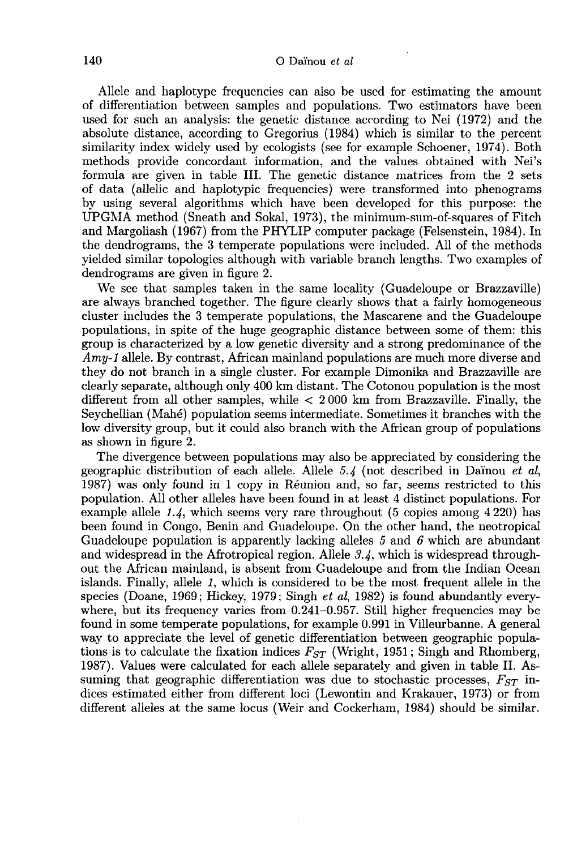Allele and haplotype frequencies can also be used for estimating the amount of differentiation between samples and populations. Two estimators have been used for such an analysis: the genetic distance according to Nei (1972) and the absolute distance, according to Gregorius (1984) which is similar to the percent similarity index widely used by ecologists (see for example Schoener, 1974). Both methods provide concordant information, and the values obtained with Nei's formula are given in table III. The genetic distance matrices from the 2 sets of data (allelic and haplotypic frequencies) were transformed into phenograms by using several algorithms which have been developed for this purpose: the UPGMA method (Sneath and Sokal, 1973), the minimum-sum-of-squares of Fitch and Margoliash (1967) from the PHYLIP computer package (Felsenstein, 1984). In the dendrograms, the 3 temperate populations were included. All of the methods yielded similar topologies although with variable branch lengths. Two examples of dendrograms are given in figure 2.<br>We see that samples taken in the same locality (Guadeloupe or Brazzaville)

are always branched together. The figure clearly shows that a fairly homogeneous cluster includes the 3 temperate populations, the Mascarene and the Guadeloupe populations, in spite of the huge geographic distance between some of them: this group is characterized by a low genetic diversity and a strong predominance of the Amy-1 allele. By contrast, African mainland populations are much more diverse and they do not branch in a single cluster. For example Dimonika and Brazzaville are clearly separate, although only 400 km distant. The Cotonou population is the most different from all other samples, while < 2 000 km from Brazzaville. Finally, the Seychellian (Mah6) population seems intermediate. Sometimes it branches with the low diversity group, but it could also branch with the African group of populations as shown in figure 2.

The divergence between populations may also be appreciated by considering the geographic distribution of each allele. Allele  $5.4$  (not described in Dainou *et al*, 1987) was only found in 1 copy in Reunion and, so far, seems restricted to this population. All other alleles have been found in at least 4 distinct populations. For example allele  $1.4$ , which seems very rare throughout (5 copies among  $4\,220$ ) has been found in Congo, Benin and Guadeloupe. On the other hand, the neotropical Guadeloupe population is apparently lacking alleles  $5$  and  $6$  which are abundant and widespread in the Afrotropical region. Allele  $3.4$ , which is widespread throughout the African mainland, is absent from Guadeloupe and from the Indian Ocean islands. Finally, allele 1, which is considered to be the most frequent allele in the species (Doane, 1969; Hickey, 1979; Singh et al, 1982) is found abundantly everywhere, but its frequency varies from 0.241-0.957. Still higher frequencies may be found in some temperate populations, for example 0.991 in Villeurbanne. A general way to appreciate the level of genetic differentiation between geographic populations is to calculate the fixation indices  $F_{ST}$  (Wright, 1951; Singh and Rhomberg, 1987). Values were calculated for each allele separately and given in table II. Assuming that geographic differentiation was due to stochastic processes,  $F_{ST}$  in-<br>diese estimated either from different loci (Lementin and dices estimated either from different loci (Lewontin and Krakauer, 1973) or from different alleles at the same locus (Weir and Cockerham, 1984) should be similar.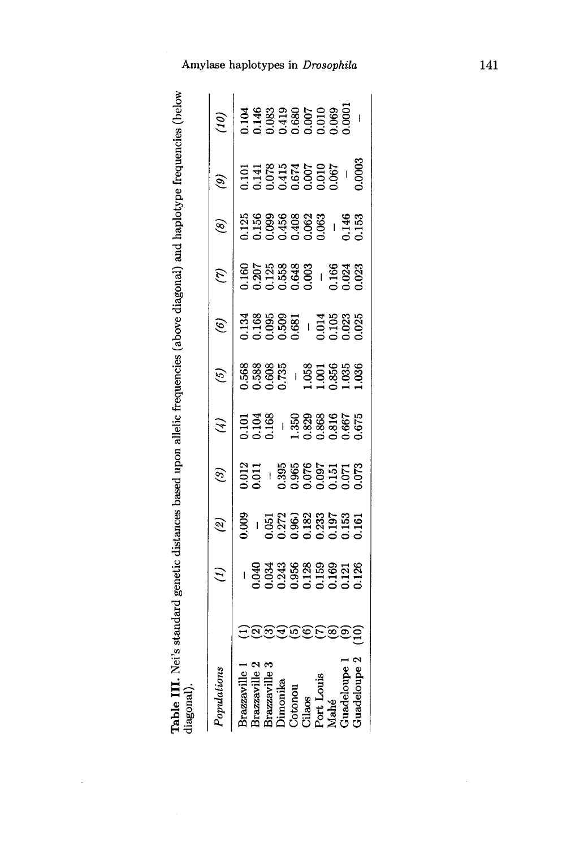| ;                  |  |
|--------------------|--|
| <br> <br>          |  |
|                    |  |
|                    |  |
|                    |  |
|                    |  |
|                    |  |
|                    |  |
| $\frac{1}{2}$      |  |
|                    |  |
|                    |  |
|                    |  |
|                    |  |
|                    |  |
|                    |  |
|                    |  |
| i                  |  |
| Ĵ<br>$\frac{1}{1}$ |  |
|                    |  |
| ś<br>;<br>i        |  |

 $\bar{z}$ 

|                                                 |        | E | $\widehat{\mathscr{C}}$                          | হ্য                                                                                                            | $\widehat{\mathcal{F}}$                                                                                                                                                                                                                                                                                                           | ত                                                | $\widehat{e}$                              | $\mathcal{E}$                                                   | $\mathscr{E}$                                          |                                                                        |                                                                 |
|-------------------------------------------------|--------|---|--------------------------------------------------|----------------------------------------------------------------------------------------------------------------|-----------------------------------------------------------------------------------------------------------------------------------------------------------------------------------------------------------------------------------------------------------------------------------------------------------------------------------|--------------------------------------------------|--------------------------------------------|-----------------------------------------------------------------|--------------------------------------------------------|------------------------------------------------------------------------|-----------------------------------------------------------------|
|                                                 |        |   | $\frac{8}{2}$                                    |                                                                                                                |                                                                                                                                                                                                                                                                                                                                   |                                                  |                                            |                                                                 |                                                        |                                                                        |                                                                 |
|                                                 |        |   |                                                  | $\frac{1012}{0.011}$                                                                                           | $\begin{array}{r} 1.101 \\ -1.104 \\ -1.150 \\ -1.350 \\ -1.350 \\ -0.808 \\ -0.816 \\ -0.675 \\ -0.675 \\ -0.675 \\ -0.675 \\ -0.675 \\ -0.675 \\ -0.675 \\ -0.675 \\ -0.675 \\ -0.675 \\ -0.675 \\ -0.675 \\ -0.675 \\ -0.675 \\ -0.675 \\ -0.675 \\ -0.675 \\ -0.675 \\ -0.675 \\ -0.675 \\ -0.675 \\ -0.675 \\ -0.675 \\ -0.$ | 1568<br>1588 - 135<br>1.05360<br>1.0556<br>1.036 | 134<br>0.168<br>0.0503<br>0.01115<br>0.023 | 0.160<br>0.207<br>0.125 383<br>0.000 - 0.0024<br>0.000 - 0.0023 | 0.125<br>0.156<br>0.099 456<br>0.062<br>0.153<br>0.153 | 0.101<br>0.141<br>0.078<br>0.007<br>0.007<br>0.007<br>0.0087<br>0.0087 | 1.104<br>1.146<br>1.1833<br>1.680<br>1.010 1.009<br>1.000 1.000 |
|                                                 |        |   | 051<br>0.272<br>0.382<br>0.197<br>0.197<br>0.161 |                                                                                                                |                                                                                                                                                                                                                                                                                                                                   |                                                  |                                            |                                                                 |                                                        |                                                                        |                                                                 |
|                                                 |        |   |                                                  | $\begin{array}{r} -0.395 \\ -0.395 \\ -0.076 \\ -0.076 \\ -0.076 \\ -0.073 \\ -0.073 \\ -0.073 \\ \end{array}$ |                                                                                                                                                                                                                                                                                                                                   |                                                  |                                            |                                                                 |                                                        |                                                                        |                                                                 |
| Jimonik<br>Cotonou<br>Cilaos<br>Port Lo<br>Mahé |        |   |                                                  |                                                                                                                |                                                                                                                                                                                                                                                                                                                                   |                                                  |                                            |                                                                 |                                                        |                                                                        |                                                                 |
|                                                 |        |   |                                                  |                                                                                                                |                                                                                                                                                                                                                                                                                                                                   |                                                  |                                            |                                                                 |                                                        |                                                                        |                                                                 |
|                                                 | ලිවිමට |   |                                                  |                                                                                                                |                                                                                                                                                                                                                                                                                                                                   |                                                  |                                            |                                                                 |                                                        |                                                                        |                                                                 |
|                                                 |        |   |                                                  |                                                                                                                |                                                                                                                                                                                                                                                                                                                                   |                                                  |                                            |                                                                 |                                                        |                                                                        |                                                                 |
|                                                 |        |   |                                                  |                                                                                                                |                                                                                                                                                                                                                                                                                                                                   |                                                  |                                            |                                                                 |                                                        |                                                                        |                                                                 |
|                                                 |        |   |                                                  |                                                                                                                |                                                                                                                                                                                                                                                                                                                                   |                                                  |                                            |                                                                 |                                                        |                                                                        |                                                                 |
|                                                 |        |   |                                                  |                                                                                                                |                                                                                                                                                                                                                                                                                                                                   |                                                  |                                            |                                                                 |                                                        |                                                                        |                                                                 |

Amylase haplotypes in Drosophila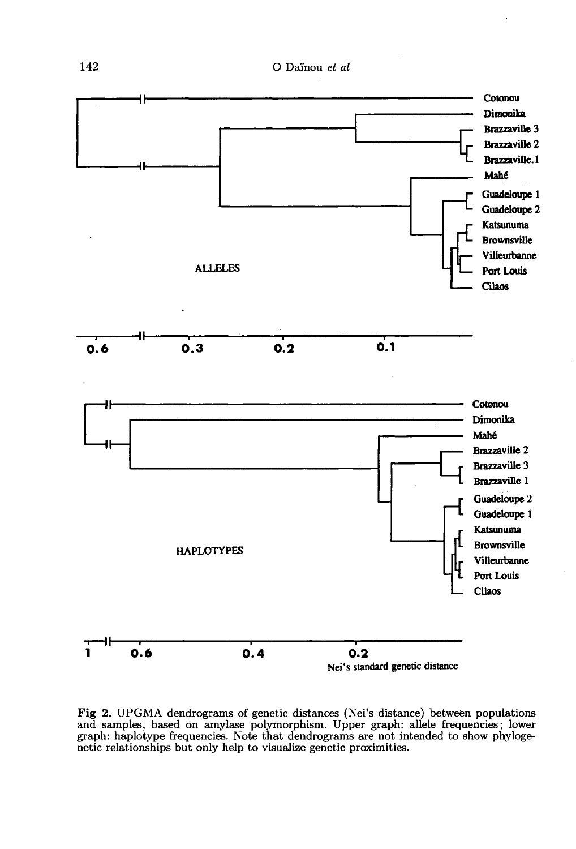

Fig 2. UPGMA dendrograms of genetic distances (Nei's distance) between populations and samples, based on amylase polymorphism. Upper graph: allele frequencies; lower<br>graph: haplotype frequencies. Note that dendrograms are not intended to show phylogenetic relationships but only help to visualize genetic proximities.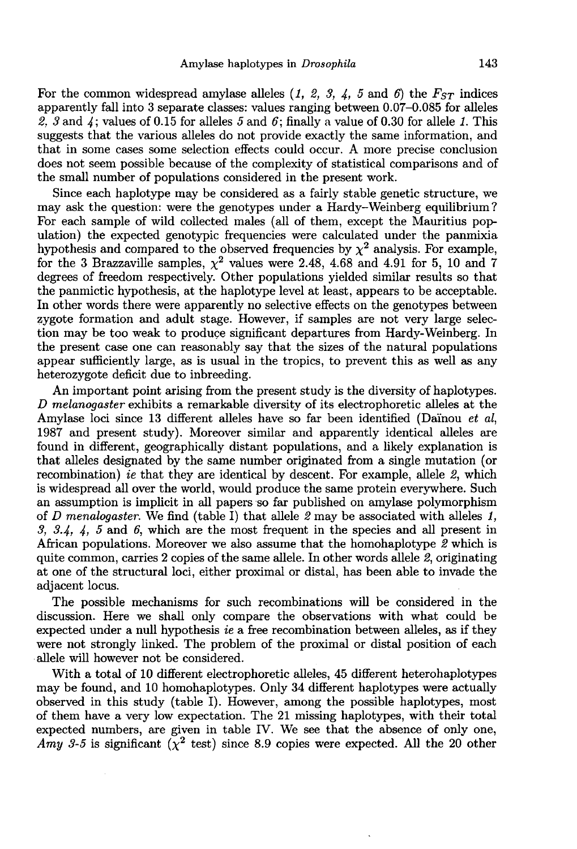For the common widespread amylase alleles (1, 2, 3, 4, 5 and 6) the  $F_{ST}$  indices apparently fall into 3 separate classes: values ranging between 0.07-0.085 for alleles 2, 3 and 4; values of 0.15 for alleles 5 and 6; finally a value of 0.30 for allele 1. This suggests that the various alleles do not provide exactly the same information, and that in some cases some selection effects could occur. A more precise conclusion does not seem possible because of the complexity of statistical comparisons and of the small number of populations considered in the present work.

Since each haplotype may be considered as a fairly stable genetic structure, we may ask the question: were the genotypes under a Hardy-Weinberg equilibrium? For each sample of wild collected males (all of them, except the Mauritius population) the expected genotypic frequencies were calculated under the panmixia For each sample of wild collected males (all of them, except the Mauritius population) the expected genotypic frequencies were calculated under the panmixia hypothesis and compared to the observed frequencies by  $\chi^2$  an degrees of freedom respectively. Other populations yielded similar results so that the panmictic hypothesis, at the haplotype level at least, appears to be acceptable. In other words there were apparently no selective effects on the genotypes between zygote formation and adult stage. However, if samples are not very large selection may be too weak to produce significant departures from Hardy-Weinberg. In the present case one can reasonably say that the sizes of the natural populations appear sufficiently large, as is usual in the tropics, to prevent this as well as any heterozygote deficit due to inbreeding.

An important point arising from the present study is the diversity of haplotypes. D melanogaster exhibits a remarkable diversity of its electrophoretic alleles at the Amylase loci since 13 different alleles have so far been identified (Daïnou et al. 1987 and present study). Moreover similar and apparently identical alleles are found in different, geographically distant populations, and a likely explanation is that alleles designated by the same number originated from a single mutation (or recombination) *ie* that they are identical by descent. For example, allele  $2$ , which is widespread all over the world, would produce the same protein everywhere. Such an assumption is implicit in all papers so far published on amylase polymorphism of D menalogaster. We find (table I) that allele  $2$  may be associated with alleles 1, 3, 3.4, 4, 5 and 6, which are the most frequent in the species and all present in African populations. Moreover we also assume that the homohaplotype 2 which is quite common, carries 2 copies of the same allele. In other words allele 2, originating at one of the structural loci, either proximal or distal, has been able to invade the adjacent locus.

The possible mechanisms for such recombinations will be considered in the discussion. Here we shall only compare the observations with what could be expected under a null hypothesis ie a free recombination between alleles, as if they were not strongly linked. The problem of the proximal or distal position of each allele will however not be considered.

With a total of 10 different electrophoretic alleles, 45 different heterohaplotypes may be found, and 10 homohaplotypes. Only 34 different haplotypes were actually observed in this study (table I). However, among the possible haplotypes, most of them have a very low expectation. The 21 missing haplotypes, with their total expected numbers, are given in table IV. We see that the absence of only one, Amy 3-5 is significant ( $\chi^2$  test) since 8.9 copies were expected. All the 20 other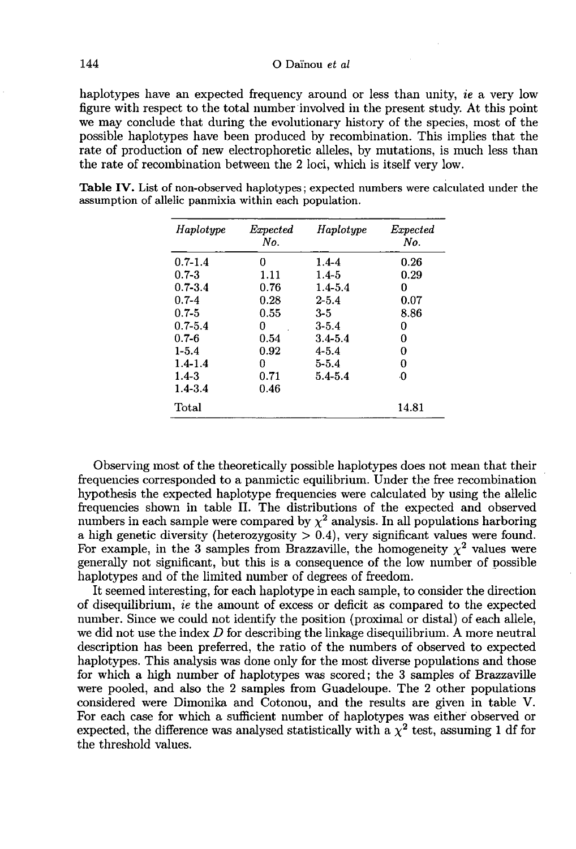haplotypes have an expected frequency around or less than unity, ie a very low figure with respect to the total number involved in the present study. At this point we may conclude that during the evolutionary history of the species, most of the possible haplotypes have been produced by recombination. This implies that the rate of production of new electrophoretic alleles, by mutations, is much less than the rate of recombination between the 2 loci, which is itself very low.

| Haplotype   | <i>Expected</i><br>No. | Haplotype   | Expected<br>No. |
|-------------|------------------------|-------------|-----------------|
| $0.7 - 1.4$ | 0                      | $1.4 - 4$   | 0.26            |
| $0.7 - 3$   | 1.11                   | $1.4 - 5$   | 0.29            |
| $0.7 - 3.4$ | 0.76                   | $1.4 - 5.4$ | 0               |
| $0.7 - 4$   | 0.28                   | $2 - 5.4$   | 0.07            |
| $0.7 - 5$   | $0.55\,$               | 3-5         | 8.86            |
| $0.7 - 5.4$ | n                      | $3 - 5.4$   | 0               |
| $0.7 - 6$   | 0.54                   | $3.4 - 5.4$ | 0               |
| $1 - 5.4$   | 0.92                   | $4 - 5.4$   | 0               |
| $1.4 - 1.4$ | 0                      | $5 - 5.4$   | 0               |
| $1.4 - 3$   | 0.71                   | $5.4 - 5.4$ | ٠O              |
| $1.4 - 3.4$ | 0.46                   |             |                 |
| Total       |                        |             | 14.81           |

Table IV. List of non-observed haplotypes; expected numbers were calculated under the assumption of allelic panmixia within each population.

Observing most of the theoretically possible haplotypes does not mean that their frequencies corresponded to a panmictic equilibrium. Under the free recombination hypothesis the expected haplotype frequencies were calculated by using the allelic frequencies shown in table II. The distributions of the expected and observed numbers in each sample were compared by  $\chi^2$  analysis. In all populations harboring a high genetic diversity (heterozygosity > 0.4), very significant values were found. For example, in the 3 samples from Brazzaville, the homogeneity  $\chi^2$  values were generally not significant, but this is a consequence of the low number of possible haplotypes and of the limited number of degrees of freedom.

It seemed interesting, for each haplotype in each sample, to consider the direction of disequilibrium, *ie* the amount of excess or deficit as compared to the expected number. Since we could not identify the position (proximal or distal) of each allele, we did not use the index  $D$  for describing the linkage disequilibrium. A more neutral description has been preferred, the ratio of the numbers of observed to expected haplotypes. This analysis was done only for the most diverse populations and those for which a high number of haplotypes was scored; the 3 samples of Brazzaville were pooled, and also the 2 samples from Guadeloupe. The 2 other populations considered were Dimonika and Cotonou, and the results are given in table V. For each case for which a sufficient number of haplotypes was either observed or expected, the difference was analysed statistically with a  $\chi^2$  test, assuming 1 df for the threshold values.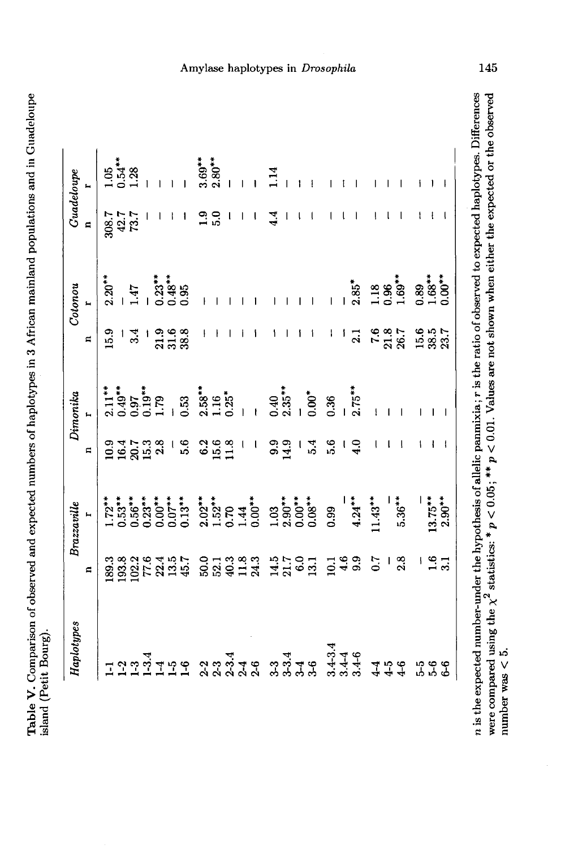| ļ<br>i<br>j             |        |
|-------------------------|--------|
| i                       |        |
| l<br> <br> <br> <br>    |        |
|                         |        |
|                         |        |
|                         |        |
|                         |        |
|                         | ĺ      |
|                         |        |
| ι                       |        |
|                         | I      |
| $\frac{1}{2}$<br>ĺ<br>E | į<br>į |

| Guadeloupe<br>n<br>105<br>308.7<br>42.7<br>10.54<br>73.7<br>1.28<br>- |                                      |  | Dimonika<br>r | Cotonou |  |
|-----------------------------------------------------------------------|--------------------------------------|--|---------------|---------|--|
|                                                                       |                                      |  |               |         |  |
|                                                                       |                                      |  |               |         |  |
|                                                                       |                                      |  |               |         |  |
|                                                                       |                                      |  |               |         |  |
|                                                                       |                                      |  |               |         |  |
|                                                                       |                                      |  |               |         |  |
|                                                                       |                                      |  |               |         |  |
|                                                                       |                                      |  |               |         |  |
|                                                                       |                                      |  |               |         |  |
|                                                                       |                                      |  |               |         |  |
|                                                                       |                                      |  |               |         |  |
|                                                                       |                                      |  |               |         |  |
|                                                                       |                                      |  |               |         |  |
|                                                                       |                                      |  |               |         |  |
|                                                                       |                                      |  |               |         |  |
|                                                                       |                                      |  |               |         |  |
|                                                                       | 89800004500 SSSHEX HUOH D498 C 8 153 |  |               |         |  |
|                                                                       |                                      |  |               |         |  |
|                                                                       |                                      |  |               |         |  |
|                                                                       |                                      |  |               |         |  |
|                                                                       |                                      |  |               |         |  |
|                                                                       |                                      |  |               |         |  |
|                                                                       |                                      |  |               |         |  |
|                                                                       |                                      |  |               |         |  |
|                                                                       |                                      |  |               |         |  |
|                                                                       |                                      |  |               |         |  |

# were compared using the  $\chi^2$  statistics: \*  $p < 0.05$ ; \*\*  $p < 0.01$ . Values are not shown when either the expected or the observed number was  $\leq 5$ .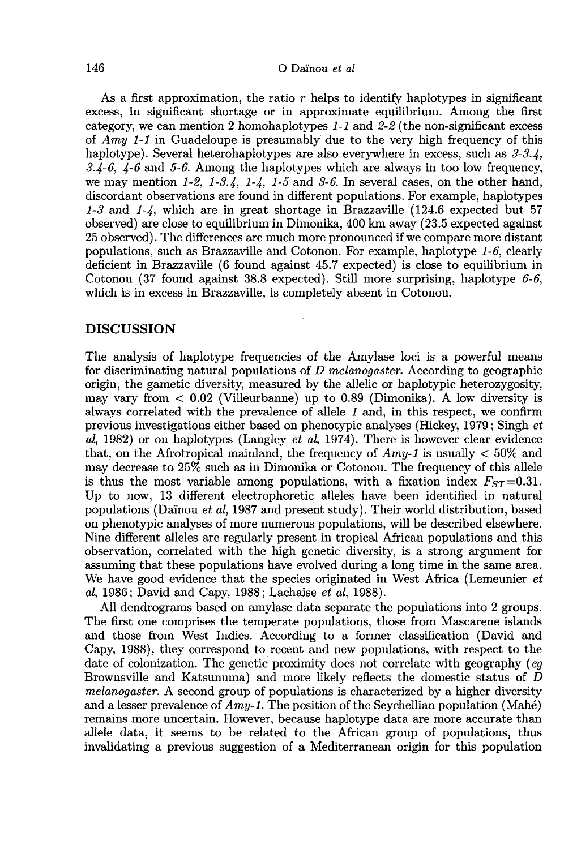As a first approximation, the ratio  $r$  helps to identify haplotypes in significant excess, in significant shortage or in approximate equilibrium. Among the first category, we can mention 2 homohaplotypes  $1-1$  and  $2-2$  (the non-significant excess of Amy  $1-1$  in Guadeloupe is presumably due to the very high frequency of this haplotype). Several heterohaplotypes are also everywhere in excess, such as  $3-3.4$ ,  $3.4-6$ ,  $4-6$  and  $5-6$ . Among the haplotypes which are always in too low frequency, we may mention 1-2, 1-3.4, 1-4, 1-5 and 3-6. In several cases, on the other hand, discordant observations are found in different populations. For example, haplotypes 1-3 and 1-4, which are in great shortage in Brazzaville (124.6 expected but  $57$ observed) are close to equilibrium in Dimonika, 400 km away (23.5 expected against 25 observed). The differences are much more pronounced if we compare more distant populations, such as Brazzaville and Cotonou. For example, haplotype 1-6, clearly deficient in Brazzaville (6 found against 45.7 expected) is close to equilibrium in Cotonou (37 found against 38.8 expected). Still more surprising, haplotype  $6-6$ , which is in excess in Brazzaville, is completely absent in Cotonou.

# DISCUSSION

The analysis of haplotype frequencies of the Amylase loci is a powerful means for discriminating natural populations of D melanogaster. According to geographic origin, the gametic diversity, measured by the allelic or haplotypic heterozygosity, may vary from  $< 0.02$  (Villeurbanne) up to 0.89 (Dimonika). A low diversity is always correlated with the prevalence of allele 1 and, in this respect, we confirm previous investigations either based on phenotypic analyses (Hickey, 1979; Singh et al, 1982) or on haplotypes (Langley et al, 1974). There is however clear evidence that, on the Afrotropical mainland, the frequency of  $Amy-1$  is usually  $< 50\%$  and may decrease to 25% such as in Dimonika or Cotonou. The frequency of this allele is thus the most variable among populations, with a fixation index  $F_{ST}=0.31$ . Up to now, 13 different electrophoretic alleles have been identified in natural populations (Dainou et al, 1987 and present study). Their world distribution, based on phenotypic analyses of more numerous populations, will be described elsewhere. Nine different alleles are regularly present in tropical African populations and this observation, correlated with the high genetic diversity, is a strong argument for assuming that these populations have evolved during a long time in the same area. We have good evidence that the species originated in West Africa (Lemeunier *et* al, 1986; David and Capy, 1988; Lachaise et al, 1988).

All dendrograms based on amylase data separate the populations into 2 groups. The first one comprises the temperate populations, those from Mascarene islands and those from West Indies. According to a former classification (David and Capy, 1988), they correspond to recent and new populations, with respect to the date of colonization. The genetic proximity does not correlate with geography (eg Brownsville and Katsunuma) and more likely reflects the domestic status of D melanogaster. A second group of populations is characterized by a higher diversity and a lesser prevalence of  $Amy-1$ . The position of the Seychellian population (Mahé) remains more uncertain. However, because haplotype data are more accurate than allele data, it seems to be related to the African group of populations, thus invalidating a previous suggestion of a Mediterranean origin for this population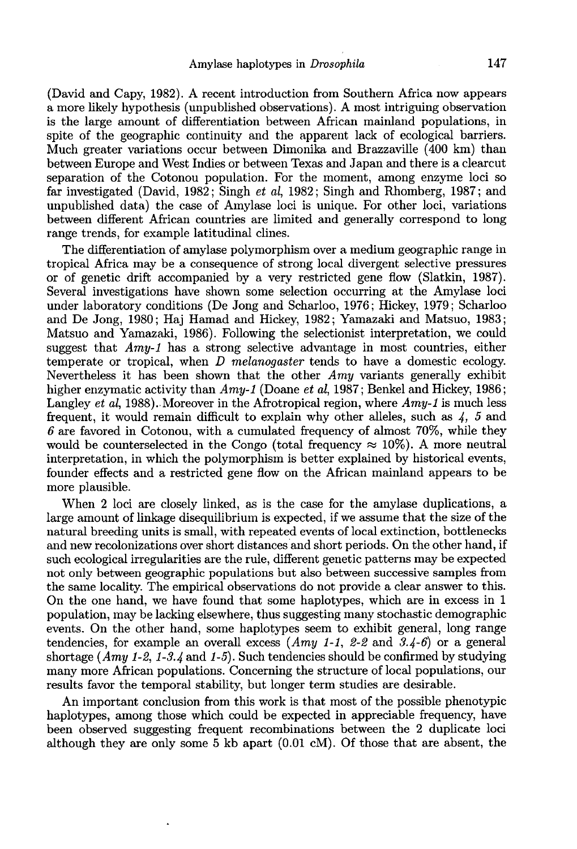(David and Capy, 1982). A recent introduction from Southern Africa now appears a more likely hypothesis (unpublished observations). A most intriguing observation is the large amount of differentiation between African mainland populations, in spite of the geographic continuity and the apparent lack of ecological barriers. Much greater variations occur between Dimonika and Brazzaville (400 km) than between Europe and West Indies or between Texas and Japan and there is a clearcut separation of the Cotonou population. For the moment, among enzyme loci so far investigated (David, 1982; Singh et al, 1982; Singh and Rhomberg, 1987; and unpublished data) the case of Amylase loci is unique. For other loci, variations between different African countries are limited and generally correspond to long range trends, for example latitudinal clines.

The differentiation of amylase polymorphism over a medium geographic range in tropical Africa may be a consequence of strong local divergent selective pressures or of genetic drift accompanied by a very restricted gene flow (Slatkin, 1987). Several investigations have shown some selection occurring at the Amylase loci under laboratory conditions (De Jong and Scharloo, 1976; Hickey, 1979; Scharloo and De Jong, 1980; Haj Hamad and Hickey, 1982; Yamazaki and Matsuo, 1983; Matsuo and Yamazaki, 1986). Following the selectionist interpretation, we could suggest that  $Amy-1$  has a strong selective advantage in most countries, either temperate or tropical, when D melanogaster tends to have a domestic ecology. Nevertheless it has been shown that the other Amy variants generally exhibit higher enzymatic activity than  $Amy-1$  (Doane *et al*, 1987; Benkel and Hickey, 1986; Langley et al, 1988). Moreover in the Afrotropical region, where  $Amy-1$  is much less frequent, it would remain difficult to explain why other alleles, such as 4, 5 and  $6$  are favored in Cotonou, with a cumulated frequency of almost  $70\%$ , while they would be counterselected in the Congo (total frequency  $\approx 10\%$ ). A more neutral interpretation, in which the polymorphism is better explained by historical events, founder effects and a restricted gene flow on the African mainland appears to be more plausible.

When 2 loci are closely linked, as is the case for the amylase duplications, a large amount of linkage disequilibrium is expected, if we assume that the size of the natural breeding units is small, with repeated events of local extinction, bottlenecks and new recolonizations over short distances and short periods. On the other hand, if such ecological irregularities are the rule, different genetic patterns may be expected not only between geographic populations but also between successive samples from the same locality. The empirical observations do not provide a clear answer to this. On the one hand, we have found that some haplotypes, which are in excess in 1 population, may be lacking elsewhere, thus suggesting many stochastic demographic events. On the other hand, some haplotypes seem to exhibit general, long range tendencies, for example an overall excess  $(Amy 1-1, 2-2, and 3-4-6)$  or a general shortage (Amy 1-2, 1-3.4 and 1-5). Such tendencies should be confirmed by studying many more African populations. Concerning the structure of local populations, our results favor the temporal stability, but longer term studies are desirable.

An important conclusion from this work is that most of the possible phenotypic haplotypes, among those which could be expected in appreciable frequency, have been observed suggesting frequent recombinations between the 2 duplicate loci although they are only some 5 kb apart (0.01 cM). Of those that are absent, the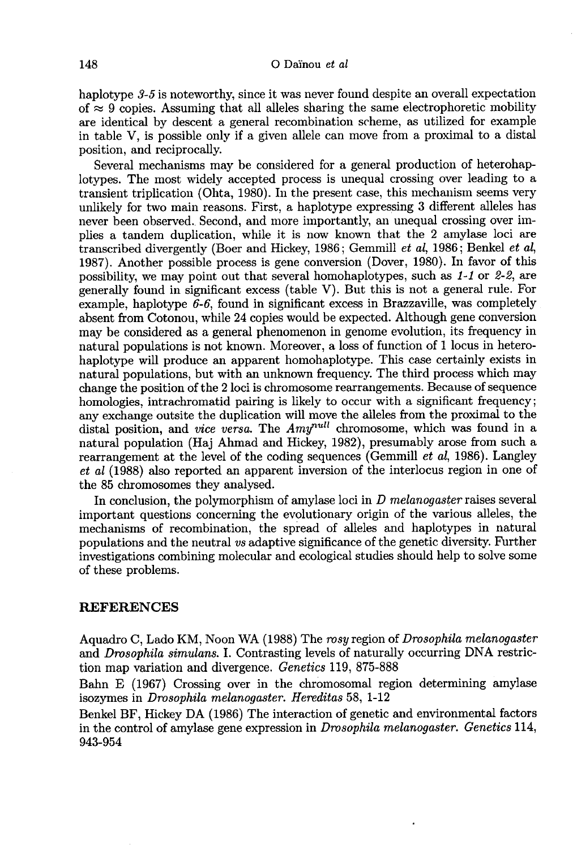haplotype 3-5 is noteworthy, since it was never found despite an overall expectation of  $\approx$  9 copies. Assuming that all alleles sharing the same electrophoretic mobility are identical by descent a general recombination scheme, as utilized for example in table V, is possible only if a given allele can move from a proximal to a distal position, and reciprocally.

Several mechanisms may be considered for a general production of heterohaplotypes. The most widely accepted process is unequal crossing over leading to a transient triplication (Ohta, 1980). In the present case, this mechanism seems very unlikely for two main reasons. First, a haplotype expressing 3 different alleles has never been observed. Second, and more importantly, an unequal crossing over implies a tandem duplication, while it is now known that the 2 amylase loci are transcribed divergently (Boer and Hickey, 1986; Gemmill et al, 1986; Benkel et al, 1987). Another possible process is gene conversion (Dover, 1980). In favor of this possibility, we may point out that several homohaplotypes, such as 1-1 or 2-2, are generally found in significant excess (table V). But this is not a general rule. For example, haplotype 6-6, found in significant excess in Brazzaville, was completely absent from Cotonou, while 24 copies would be expected. Although gene conversion may be considered as a general phenomenon in genome evolution, its frequency in natural populations is not known. Moreover, a loss of function of 1 locus in heterohaplotype will produce an apparent homohaplotype. This case certainly exists in natural populations, but with an unknown frequency. The third process which may change the position of the 2 loci is chromosome rearrangements. Because of sequence homologies, intrachromatid pairing is likely to occur with a significant frequency; any exchange outsite the duplication will move the alleles from the proximal to the distal position, and *vice versa*. The  $Amy<sup>null</sup>$  chromosome, which was found in a natural population (Haj Ahmad and Hickey, 1982), presumably arose from such a rearrangement at the level of the coding sequences (Gemmill et al, 1986). Langley et al (1988) also reported an apparent inversion of the interlocus region in one of the 85 chromosomes they analysed.

In conclusion, the polymorphism of amylase loci in  $D$  *melanogaster* raises several important questions concerning the evolutionary origin of the various alleles, the mechanisms of recombination, the spread of alleles and haplotypes in natural populations and the neutral vs adaptive significance of the genetic diversity. Further investigations combining molecular and ecological studies should help to solve some of these problems.

# REFERENCES

Aquadro C, Lado KM, Noon WA (1988) The rosy region of Drosophila melanogaster and Drosophila simulans. I. Contrasting levels of naturally occurring DNA restriction map variation and divergence. Genetics 119, 875-888

Bahn E (1967) Crossing over in the chromosomal region determining amylase isozymes in Drosophila melanogaster. Hereditas 58, 1-12

Benkel BF, Hickey DA (1986) The interaction of genetic and environmental factors in the control of amylase gene expression in Drosophila melanogaster. Genetics 114, 943-954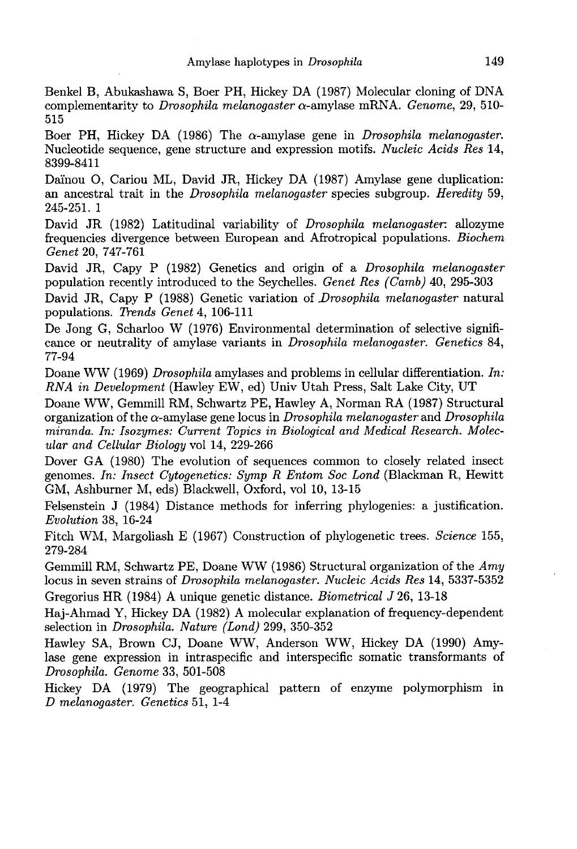Benkel B, Abukashawa S, Boer PH, Hickey DA (1987) Molecular cloning of DNA complementarity to *Drosophila melanogaster*  $\alpha$ -amylase mRNA. Genome, 29, 510-515

Boer PH, Hickey DA (1986) The  $\alpha$ -amylase gene in *Drosophila melanogaster*. Nucleotide sequence, gene structure and expression motifs. Nucleic Acids Res 14, 8399-8411

Dainou 0, Cariou ML, David JR, Hickey DA (1987) Amylase gene duplication: an ancestral trait in the Drosophila melanogaster species subgroup. Heredity 59, 245-251. 1

David JR (1982) Latitudinal variability of Drosophila melanogaster. allozyme frequencies divergence between European and Afrotropical populations. Biochem Genet 20, 747-761

David JR, Capy P (1982) Genetics and origin of a *Drosophila melanogaster* population recently introduced to the Seychelles. Genet Res (Camb) 40, 295-303

David JR, Capy P (1988) Genetic variation of *Drosophila melanogaster* natural populations. Trends Genet 4, 106-111

De Jong G, Scharloo W (1976) Environmental determination of selective signifi cance or neutrality of amylase variants in Drosophila melanogaster. Genetics 84, 77-94

Doane WW (1969) *Drosophila* amylases and problems in cellular differentiation. In: RNA in Development (Hawley EW, ed) Univ Utah Press, Salt Lake City, UT

Doane WW, Gemmill RM, Schwartz PE, Hawley A, Norman RA (1987) Structural organization of the  $\alpha$ -amylase gene locus in Drosophila melanogaster and Drosophila miranda. In: Isozymes: Current Topics in Biological and Medical Research. Molecular and Cellular Biology vol 14, 229-266

Dover GA (1980) The evolution of sequences common to closely related insect genomes. In: Insect Cytogenetics: Symp R Entom Soc Lond (Blackman R, Hewitt GM, Ashburner M, eds) Blackwell, Oxford, vol 10, 13-15

Felsenstein J (1984) Distance methods for inferring phylogenies: a justification. Evolution 38, 16-24

Fitch WM, Margoliash E (1967) Construction of phylogenetic trees. Science 155, 279-284

Gemmill RM, Schwartz PE, Doane WW (1986) Structural organization of the Amy locus in seven strains of Drosophila melanogaster. Nucleic Acids Res 14, 5337-5352 Gregorius HR (1984) A unique genetic distance. Biometrical J 26, 13-18

Haj-Ahmad Y, Hickey DA (1982) A molecular explanation of frequency-dependent selection in Drosophila. Nature (Lond) 299, 350-352

Hawley SA, Brown CJ, Doane WW, Anderson WW, Hickey DA (1990) Amylase gene expression in intraspecific and interspecific somatic transformants of Drosophila. Genome 33, 501-508

Hickey DA (1979) The geographical pattern of enzyme polymorphism in D melanogaster. Genetics 51, 1-4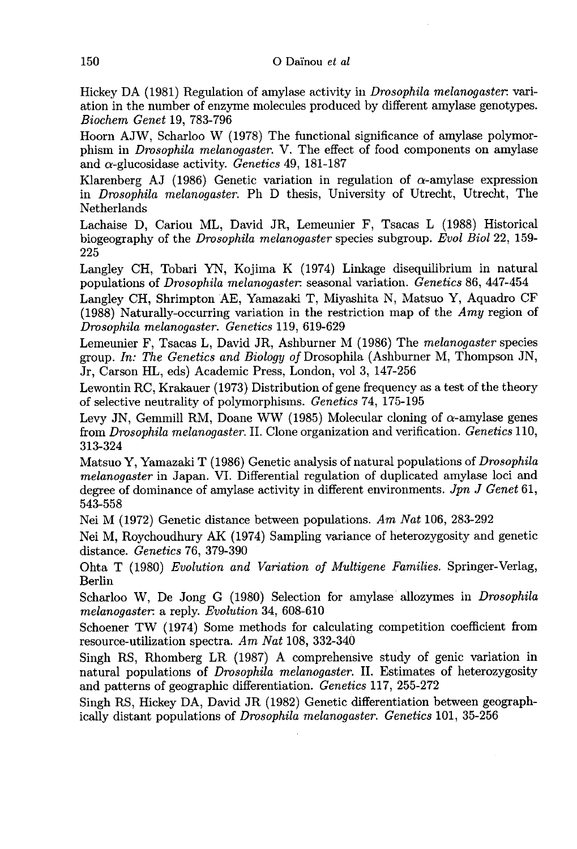Hickey DA (1981) Regulation of amylase activity in Drosophila melanogaster. variation in the number of enzyme molecules produced by different amylase genotypes. Biochem Genet 19, 783-796

Hoorn AJW, Scharloo W (1978) The functional significance of amylase polymorphism in Drosophila melanogaster. V. The effect of food components on amylase and  $\alpha$ -glucosidase activity. Genetics 49, 181-187

Klarenberg AJ (1986) Genetic variation in regulation of  $\alpha$ -amylase expression in Drosophila melanogaster. Ph D thesis, University of Utrecht, Utrecht, The Netherlands

Lachaise D, Cariou ML, David JR, Lemeunier F, Tsacas L (1988) Historical biogeography of the Drosophila melanogaster species subgroup. Evol Biol 22, 159- 225

Langley CH, Tobari YN, Kojima K (1974) Linkage disequilibrium in natural populations of *Drosophila melanogaster*: seasonal variation. Genetics 86, 447-454

Langley CH, Shrimpton AE, Yamazaki T, Miyashita N, Matsuo Y, Aquadro CF (1988) Naturally-occurring variation in the restriction map of the Amy region of Drosophila melanogaster. Genetics 119, 619-629

Lemeunier F, Tsacas L, David JR, Ashburner M (1986) The melanogaster species group. In: The Genetics and Biology of Drosophila (Ashburner M, Thompson JN, Jr, Carson HL, eds) Academic Press, London, vol 3, 147-256

Lewontin RC, Krakauer (1973) Distribution of gene frequency as a test of the theory of selective neutrality of polymorphisms. Genetics 74, 175-195

Levy JN, Gemmill RM, Doane WW (1985) Molecular cloning of  $\alpha$ -amylase genes from Drosophila melanogaster. II. Clone organization and verification. Genetics 110, 313-324

Matsuo Y, Yamazaki T (1986) Genetic analysis of natural populations of Drosophila melanogaster in Japan. VI. Differential regulation of duplicated amylase loci and degree of dominance of amylase activity in different environments. Jpn J Genet 61, 543-558

Nei M (1972) Genetic distance between populations. Am Nat 106, 283-292

Nei M, Roychoudhury AK (1974) Sampling variance of heterozygosity and genetic distance. Genetics 76, 379-390

Ohta T (1980) Evolution and Variation of Multigene Families. Springer-Verlag, Berlin

Scharloo W, De Jong G (1980) Selection for amylase allozymes in Drosophila melanogaster. a reply. Evolution 34, 608-610

Schoener TW (1974) Some methods for calculating competition coefficient from resource-utilization spectra. Am Nat 108, 332-340

Singh RS, Rhomberg LR (1987) A comprehensive study of genic variation in natural populations of Drosophila melanogaster. II. Estimates of heterozygosity and patterns of geographic differentiation. Genetics 117, 255-272

Singh RS, Hickey DA, David JR (1982) Genetic differentiation between geographically distant populations of Drosophila melanogaster. Genetics 101, 35-256